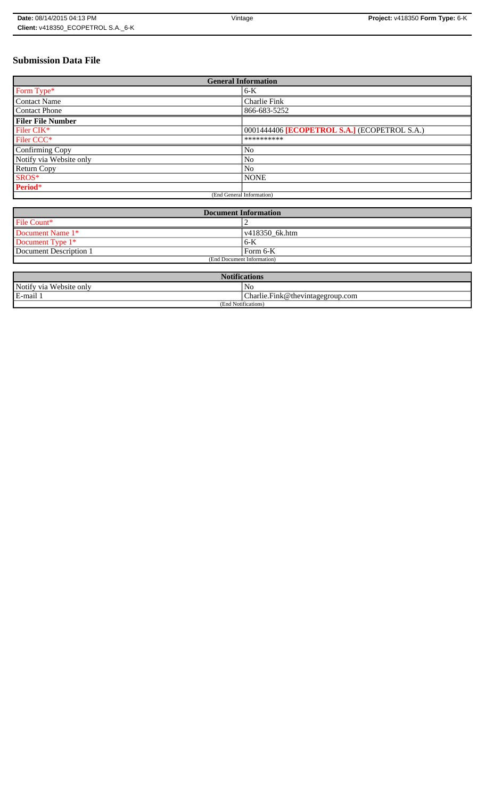# **Submission Data File**

| <b>General Information</b> |                                              |
|----------------------------|----------------------------------------------|
| Form Type*                 | $6-K$                                        |
| <b>Contact Name</b>        | Charlie Fink                                 |
| <b>Contact Phone</b>       | 866-683-5252                                 |
| <b>Filer File Number</b>   |                                              |
| Filer CIK*                 | 0001444406 [ECOPETROL S.A.] (ECOPETROL S.A.) |
| Filer CCC <sup>*</sup>     | **********                                   |
| Confirming Copy            | No                                           |
| Notify via Website only    | No                                           |
| Return Copy                | N <sub>o</sub>                               |
| SROS*                      | <b>NONE</b>                                  |
| Period*                    |                                              |
| (End General Information)  |                                              |

| <b>Document Information</b> |                        |
|-----------------------------|------------------------|
| File Count*                 |                        |
| Document Name 1*            | $\sqrt{418350}$ 6k.htm |
| Document Type 1*            | 6-K                    |
| Document Description 1      | l Form 6-K             |
| (End Document Information)  |                        |

| <b>Notifications</b>    |                                  |
|-------------------------|----------------------------------|
| Notify via Website only | N <sub>0</sub>                   |
| E-mail 1                | Charlie.Fink@thevintagegroup.com |
| (End Notifications)     |                                  |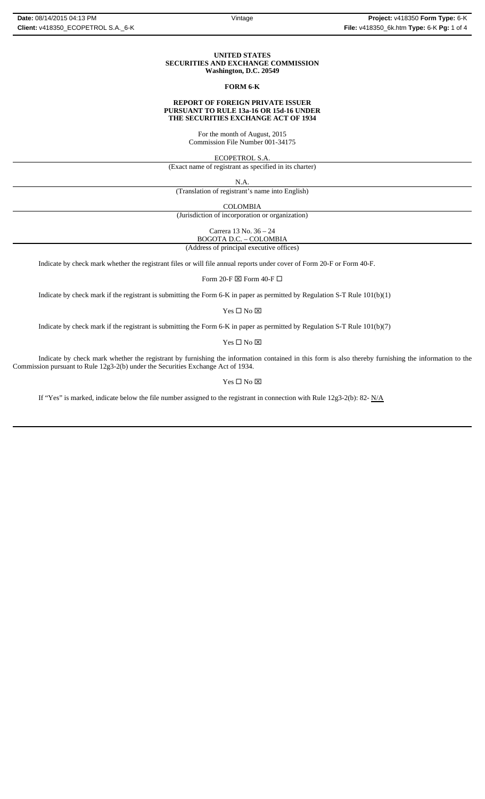#### **UNITED STATES SECURITIES AND EXCHANGE COMMISSION Washington, D.C. 20549**

### **FORM 6-K**

#### **REPORT OF FOREIGN PRIVATE ISSUER PURSUANT TO RULE 13a-16 OR 15d-16 UNDER THE SECURITIES EXCHANGE ACT OF 1934**

For the month of August, 2015 Commission File Number 001-34175

ECOPETROL S.A.

(Exact name of registrant as specified in its charter)

N.A.

(Translation of registrant's name into English)

COLOMBIA

(Jurisdiction of incorporation or organization)

Carrera 13 No. 36 – 24 BOGOTA D.C. – COLOMBIA

(Address of principal executive offices)

Indicate by check mark whether the registrant files or will file annual reports under cover of Form 20-F or Form 40-F.

Form 20-F  $\boxtimes$  Form 40-F  $\Box$ 

Indicate by check mark if the registrant is submitting the Form 6-K in paper as permitted by Regulation S-T Rule 101(b)(1)

Yes $\square$  No  $\square$ 

Indicate by check mark if the registrant is submitting the Form 6-K in paper as permitted by Regulation S-T Rule 101(b)(7)

 $\mathbf{Yes} \ \square \ \mathbf{No} \ \boxtimes$ 

Indicate by check mark whether the registrant by furnishing the information contained in this form is also thereby furnishing the information to the Commission pursuant to Rule 12g3-2(b) under the Securities Exchange Act of 1934.

### $Yes \Box No \boxtimes$

If "Yes" is marked, indicate below the file number assigned to the registrant in connection with Rule 12g3-2(b): 82-  $N/A$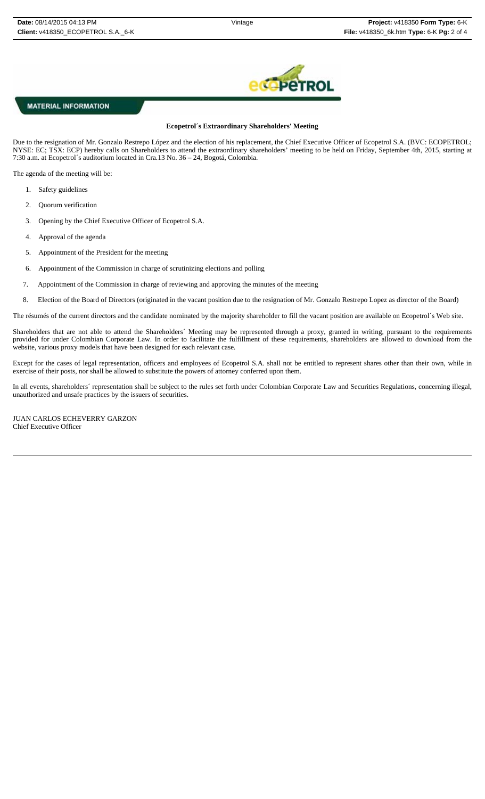

## **MATERIAL INFORMATION**

### **Ecopetrol´s Extraordinary Shareholders' Meeting**

Due to the resignation of Mr. Gonzalo Restrepo López and the election of his replacement, the Chief Executive Officer of Ecopetrol S.A. (BVC: ECOPETROL; NYSE: EC; TSX: ECP) hereby calls on Shareholders to attend the extraordinary shareholders' meeting to be held on Friday, September 4th, 2015, starting at 7:30 a.m. at Ecopetrol´s auditorium located in Cra.13 No. 36 – 24, Bogotá, Colombia.

The agenda of the meeting will be:

- 1. Safety guidelines
- 2. Quorum verification
- 3. Opening by the Chief Executive Officer of Ecopetrol S.A.
- 4. Approval of the agenda
- 5. Appointment of the President for the meeting
- 6. Appointment of the Commission in charge of scrutinizing elections and polling
- 7. Appointment of the Commission in charge of reviewing and approving the minutes of the meeting
- 8. Election of the Board of Directors (originated in the vacant position due to the resignation of Mr. Gonzalo Restrepo Lopez as director of the Board)

The résumés of the current directors and the candidate nominated by the majority shareholder to fill the vacant position are available on Ecopetrol´s Web site.

Shareholders that are not able to attend the Shareholders´ Meeting may be represented through a proxy, granted in writing, pursuant to the requirements provided for under Colombian Corporate Law. In order to facilitate the fulfillment of these requirements, shareholders are allowed to download from the website, various proxy models that have been designed for each relevant case.

Except for the cases of legal representation, officers and employees of Ecopetrol S.A. shall not be entitled to represent shares other than their own, while in exercise of their posts, nor shall be allowed to substitute the powers of attorney conferred upon them.

In all events, shareholders´ representation shall be subject to the rules set forth under Colombian Corporate Law and Securities Regulations, concerning illegal, unauthorized and unsafe practices by the issuers of securities.

JUAN CARLOS ECHEVERRY GARZON Chief Executive Officer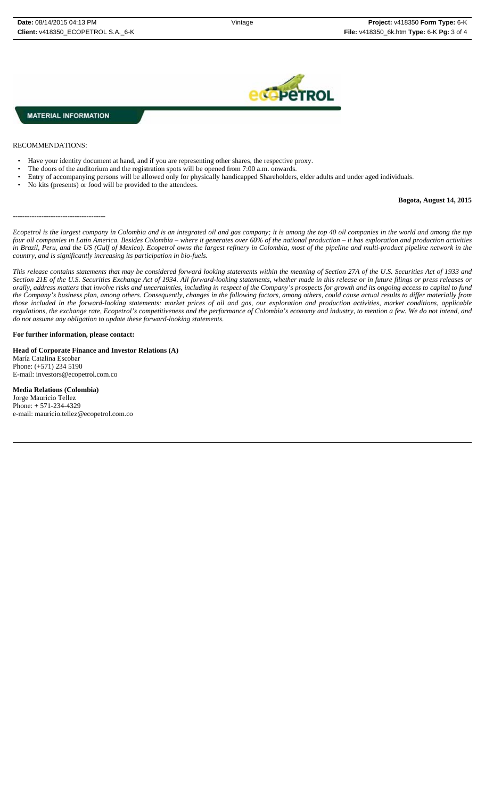**MATERIAL INFORMATION** 

RECOMMENDATIONS:

- Have your identity document at hand, and if you are representing other shares, the respective proxy.
- The doors of the auditorium and the registration spots will be opened from 7:00 a.m. onwards.
- Entry of accompanying persons will be allowed only for physically handicapped Shareholders, elder adults and under aged individuals.
- No kits (presents) or food will be provided to the attendees.

### **Bogota, August 14, 2015**

---------------------------------------

*Ecopetrol is the largest company in Colombia and is an integrated oil and gas company; it is among the top 40 oil companies in the world and among the top four oil companies in Latin America. Besides Colombia – where it generates over 60% of the national production – it has exploration and production activities in Brazil, Peru, and the US (Gulf of Mexico). Ecopetrol owns the largest refinery in Colombia, most of the pipeline and multi-product pipeline network in the country, and is significantly increasing its participation in bio-fuels.* 

*This release contains statements that may be considered forward looking statements within the meaning of Section 27A of the U.S. Securities Act of 1933 and Section 21E of the U.S. Securities Exchange Act of 1934. All forward-looking statements, whether made in this release or in future filings or press releases or orally, address matters that involve risks and uncertainties, including in respect of the Company's prospects for growth and its ongoing access to capital to fund the Company's business plan, among others. Consequently, changes in the following factors, among others, could cause actual results to differ materially from those included in the forward-looking statements: market prices of oil and gas, our exploration and production activities, market conditions, applicable regulations, the exchange rate, Ecopetrol's competitiveness and the performance of Colombia's economy and industry, to mention a few. We do not intend, and do not assume any obligation to update these forward-looking statements.*

#### **For further information, please contact:**

**Head of Corporate Finance and Investor Relations (A)** María Catalina Escobar Phone: (+571) 234 5190 E-mail: investors@ecopetrol.com.co

**Media Relations (Colombia)**  Jorge Mauricio Tellez Phone: + 571-234-4329 e-mail: mauricio.tellez@ecopetrol.com.co